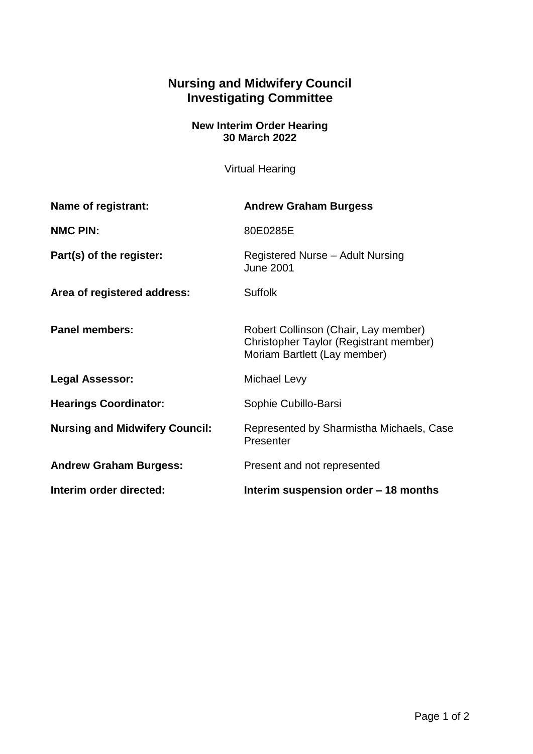## **Nursing and Midwifery Council Investigating Committee**

## **New Interim Order Hearing 30 March 2022**

Virtual Hearing

| Name of registrant:                   | <b>Andrew Graham Burgess</b>                                                                                   |
|---------------------------------------|----------------------------------------------------------------------------------------------------------------|
| <b>NMC PIN:</b>                       | 80E0285E                                                                                                       |
| Part(s) of the register:              | Registered Nurse - Adult Nursing<br><b>June 2001</b>                                                           |
| Area of registered address:           | <b>Suffolk</b>                                                                                                 |
| <b>Panel members:</b>                 | Robert Collinson (Chair, Lay member)<br>Christopher Taylor (Registrant member)<br>Moriam Bartlett (Lay member) |
| <b>Legal Assessor:</b>                | Michael Levy                                                                                                   |
| <b>Hearings Coordinator:</b>          | Sophie Cubillo-Barsi                                                                                           |
| <b>Nursing and Midwifery Council:</b> | Represented by Sharmistha Michaels, Case<br>Presenter                                                          |
| <b>Andrew Graham Burgess:</b>         | Present and not represented                                                                                    |
| Interim order directed:               | Interim suspension order – 18 months                                                                           |